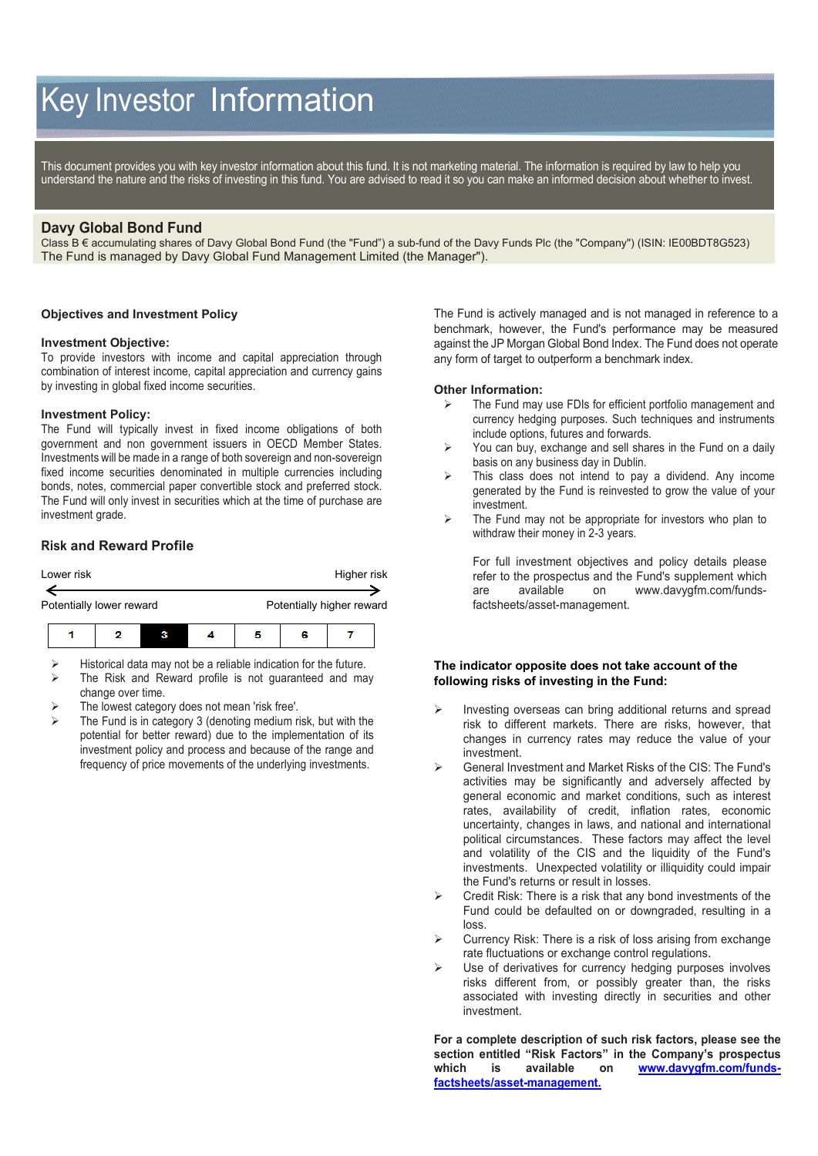# Key Investor Information

This document provides you with key investor information about this fund. It is not marketing material. The information is required by law to help you understand the nature and the risks of investing in this fund. You are advised to read it so you can make an informed decision about whether to invest.

# **Davy Global Bond Fund**

Class B € accumulating shares of Davy Global Bond Fund (the "Fund") a sub-fund of the Davy Funds Plc (the "Company") (ISIN: IE00BDT8G523) The Fund is managed by Davy Global Fund Management Limited (the Manager").

#### **Objectives and Investment Policy**

#### **Investment Objective:**

To provide investors with income and capital appreciation through combination of interest income, capital appreciation and currency gains by investing in global fixed income securities.

#### **Investment Policy:**

The Fund will typically invest in fixed income obligations of both government and non government issuers in OECD Member States. Investments will be made in a range of both sovereign and non-sovereign fixed income securities denominated in multiple currencies including bonds, notes, commercial paper convertible stock and preferred stock. The Fund will only invest in securities which at the time of purchase are investment grade.

### **Risk and Reward Profile**





- $\triangleright$  Historical data may not be a reliable indication for the future.
- $\triangleright$  The Risk and Reward profile is not quaranteed and may change over time.
- The lowest category does not mean 'risk free'.
- The Fund is in category 3 (denoting medium risk, but with the potential for better reward) due to the implementation of its investment policy and process and because of the range and frequency of price movements of the underlying investments.

The Fund is actively managed and is not managed in reference to a benchmark, however, the Fund's performance may be measured against the JP Morgan Global Bond Index. The Fund does not operate any form of target to outperform a benchmark index.

#### **Other Information:**

- The Fund may use FDIs for efficient portfolio management and currency hedging purposes. Such techniques and instruments include options, futures and forwards.
- $\triangleright$  You can buy, exchange and sell shares in the Fund on a daily basis on any business day in Dublin.
- $\triangleright$  This class does not intend to pay a dividend. Any income generated by the Fund is reinvested to grow the value of your investment.
- $\triangleright$  The Fund may not be appropriate for investors who plan to withdraw their money in 2-3 years.

For full investment objectives and policy details please refer to the prospectus and the Fund's supplement which are available on [www.davygfm.com/funds](http://www.davy.ie/)[factsheets/asset-management.](http://www.davy.ie/)

#### **The indicator opposite does not take account of the following risks of investing in the Fund:**

- $\triangleright$  Investing overseas can bring additional returns and spread risk to different markets. There are risks, however, that changes in currency rates may reduce the value of your investment.
- General Investment and Market Risks of the CIS: The Fund's activities may be significantly and adversely affected by general economic and market conditions, such as interest rates, availability of credit, inflation rates, economic uncertainty, changes in laws, and national and international political circumstances. These factors may affect the level and volatility of the CIS and the liquidity of the Fund's investments. Unexpected volatility or illiquidity could impair the Fund's returns or result in losses.
- Credit Risk: There is a risk that any bond investments of the Fund could be defaulted on or downgraded, resulting in a loss.
- Currency Risk: There is a risk of loss arising from exchange rate fluctuations or exchange control regulations.
- Use of derivatives for currency hedging purposes involves risks different from, or possibly greater than, the risks associated with investing directly in securities and other investment.

**For a complete description of such risk factors, please see the section entitled "Risk Factors" in the Company's prospectus which is available on [www.davygfm.com/funds](http://www.davygfm.com/funds-factsheets/asset-management)[factsheets/asset-management.](http://www.davygfm.com/funds-factsheets/asset-management)**